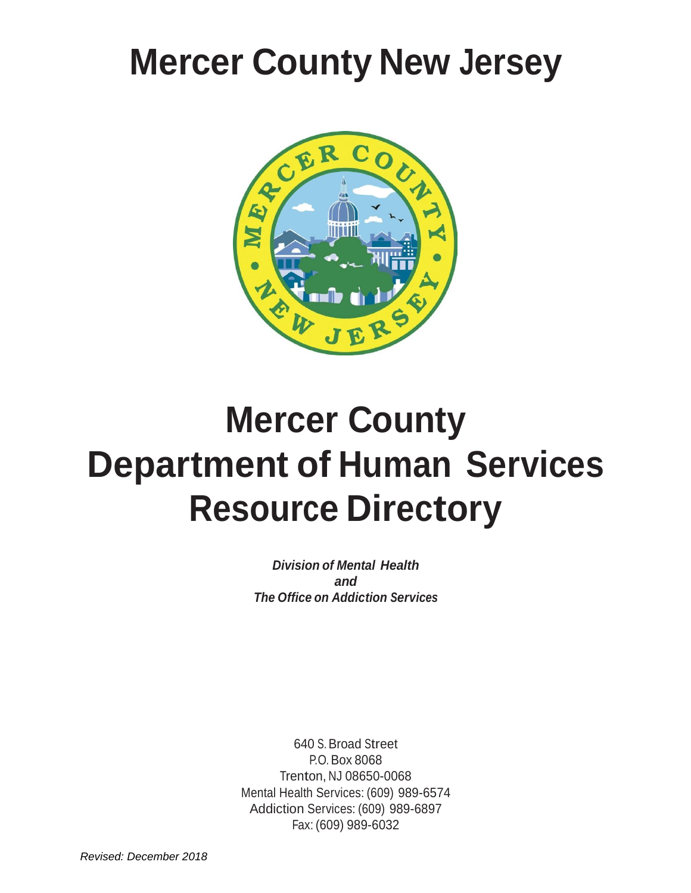# **Mercer County New Jersey**



# **Mercer County Department of Human Services Resource Directory**

*Division of Mental Health and The Office on Addiction Services*

640 S. Broad Street P.O. Box 8068 Trenton, NJ 08650-0068 Mental Health Services: (609) 989-6574 Addiction Services: (609) 989-6897 Fax: (609) 989-6032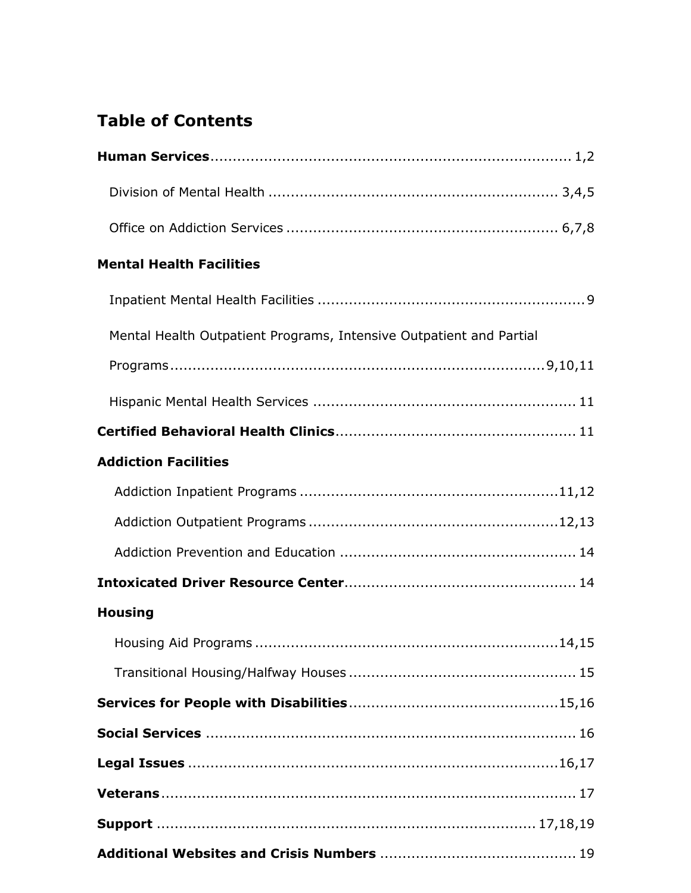# **Table of Contents**

| <b>Mental Health Facilities</b>                                     |
|---------------------------------------------------------------------|
|                                                                     |
| Mental Health Outpatient Programs, Intensive Outpatient and Partial |
|                                                                     |
|                                                                     |
|                                                                     |
| <b>Addiction Facilities</b>                                         |
|                                                                     |
|                                                                     |
|                                                                     |
|                                                                     |
| <b>Housing</b>                                                      |
|                                                                     |
|                                                                     |
|                                                                     |
|                                                                     |
|                                                                     |
|                                                                     |
|                                                                     |
|                                                                     |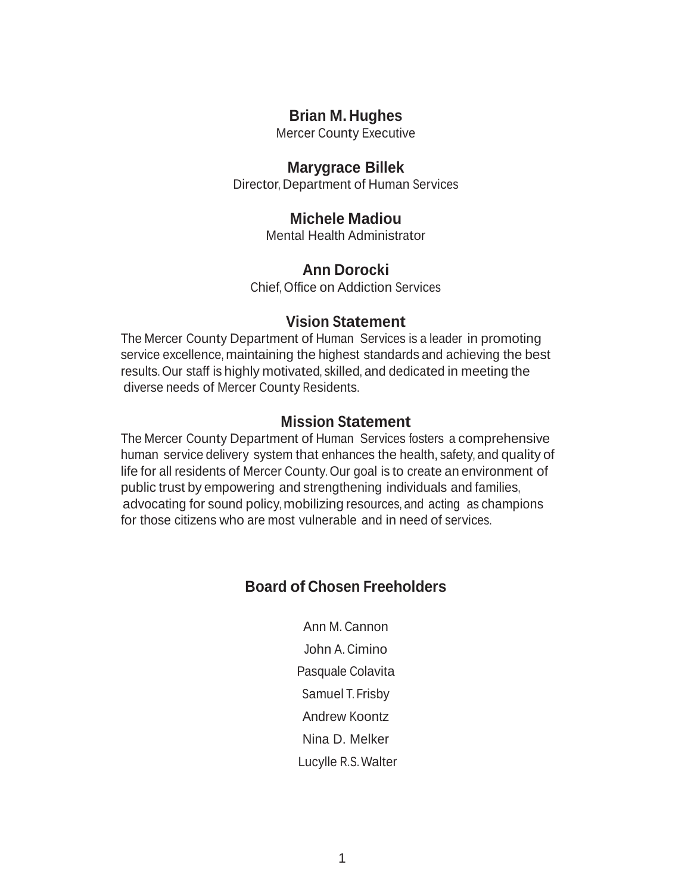## **Brian M. Hughes**

Mercer County Executive

#### **Marygrace Billek**

Director, Department of Human Services

## **Michele Madiou**

Mental Health Administrator

### **Ann Dorocki**

Chief, Office on Addiction Services

## **Vision Statement**

The Mercer County Department of Human Services is a leader in promoting service excellence, maintaining the highest standards and achieving the best results. Our staff is highly motivated, skilled, and dedicated in meeting the diverse needs of Mercer County Residents.

### **Mission Statement**

The Mercer County Department of Human Services fosters a comprehensive human service delivery system that enhances the health, safety, and quality of life for all residents of Mercer County. Our goal is to create an environment of public trust by empowering and strengthening individuals and families, advocating for sound policy, mobilizing resources, and acting as champions for those citizens who are most vulnerable and in need of services.

## **Board of Chosen Freeholders**

Ann M. Cannon John A. Cimino Pasquale Colavita Samuel T. Frisby Andrew Koontz Nina D. Melker Lucylle R.S.Walter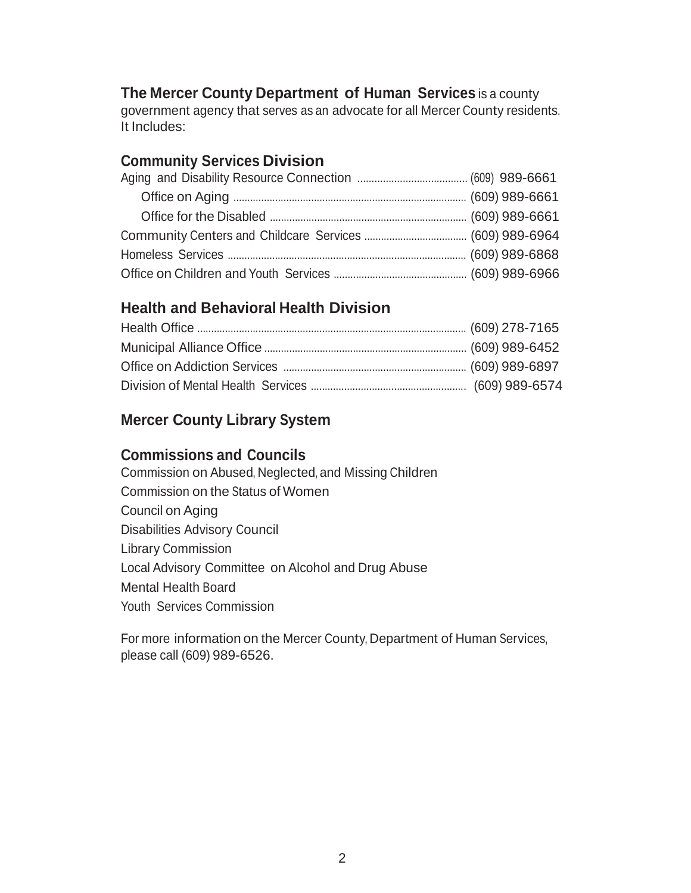## **The Mercer County Department of Human Services** is a county

government agency that serves as an advocate for all Mercer County residents. It Includes:

## **Community Services Division**

## **Health and Behavioral Health Division**

## **Mercer County Library System**

### **Commissions and Councils**

Commission on Abused, Neglected, and Missing Children Commission on the Status of Women Council on Aging Disabilities Advisory Council Library Commission Local Advisory Committee on Alcohol and Drug Abuse Mental Health Board Youth Services Commission

For more information on the Mercer County, Department of Human Services, please call (609) 989-6526.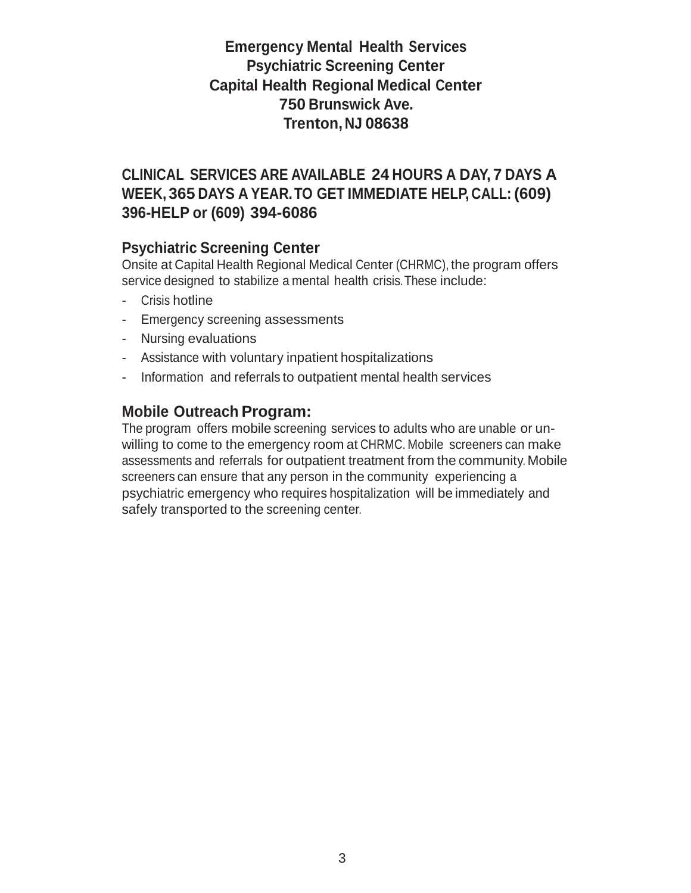# **Emergency Mental Health Services Psychiatric Screening Center Capital Health Regional Medical Center 750 Brunswick Ave. Trenton, NJ 08638**

# **CLINICAL SERVICES ARE AVAILABLE 24 HOURS A DAY, 7 DAYS A WEEK, 365 DAYS A YEAR.TO GET IMMEDIATE HELP, CALL: (609) 396-HELP or (609) 394-6086**

## **Psychiatric Screening Center**

Onsite at Capital Health Regional Medical Center (CHRMC), the program offers service designed to stabilize a mental health crisis.These include:

- Crisis hotline
- Emergency screening assessments
- Nursing evaluations
- Assistance with voluntary inpatient hospitalizations
- Information and referrals to outpatient mental health services

## **Mobile Outreach Program:**

The program offers mobile screening services to adults who are unable or unwilling to come to the emergency room at CHRMC. Mobile screeners can make assessments and referrals for outpatient treatment from the community. Mobile screeners can ensure that any person in the community experiencing a psychiatric emergency who requires hospitalization will be immediately and safely transported to the screening center.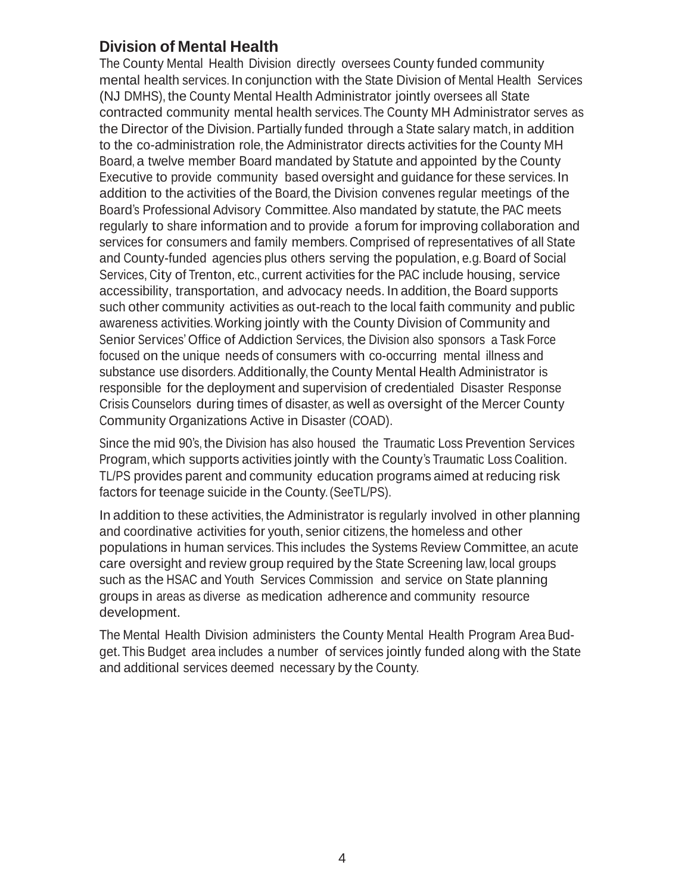## **Division of Mental Health**

The County Mental Health Division directly oversees County funded community mental health services. In conjunction with the State Division of Mental Health Services (NJ DMHS), the County Mental Health Administrator jointly oversees all State contracted community mental health services.The County MH Administrator serves as the Director of the Division. Partially funded through a State salary match, in addition to the co-administration role, the Administrator directs activities for the County MH Board, a twelve member Board mandated by Statute and appointed by the County Executive to provide community based oversight and guidance for these services. In addition to the activities of the Board, the Division convenes regular meetings of the Board's Professional Advisory Committee. Also mandated by statute, the PAC meets regularly to share information and to provide a forum for improving collaboration and services for consumers and family members. Comprised of representatives of all State and County-funded agencies plus others serving the population, e.g. Board of Social Services, City of Trenton, etc., current activities for the PAC include housing, service accessibility, transportation, and advocacy needs. In addition, the Board supports such other community activities as out-reach to the local faith community and public awareness activities.Working jointly with the County Division of Community and Senior Services'Office of Addiction Services, the Division also sponsors a Task Force focused on the unique needs of consumers with co-occurring mental illness and substance use disorders. Additionally, the County Mental Health Administrator is responsible for the deployment and supervision of credentialed Disaster Response Crisis Counselors during times of disaster, as well as oversight of the Mercer County Community Organizations Active in Disaster (COAD).

Since the mid 90's, the Division has also housed the Traumatic Loss Prevention Services Program, which supports activities jointly with the County's Traumatic Loss Coalition. TL/PS provides parent and community education programs aimed at reducing risk factors for teenage suicide in the County. (SeeTL/PS).

In addition to these activities, the Administrator is regularly involved in other planning and coordinative activities for youth, senior citizens, the homeless and other populations in human services.This includes the Systems Review Committee, an acute care oversight and review group required by the State Screening law, local groups such as the HSAC and Youth Services Commission and service on State planning groups in areas as diverse as medication adherence and community resource development.

The Mental Health Division administers the County Mental Health Program Area Budget.This Budget area includes a number of services jointly funded along with the State and additional services deemed necessary by the County.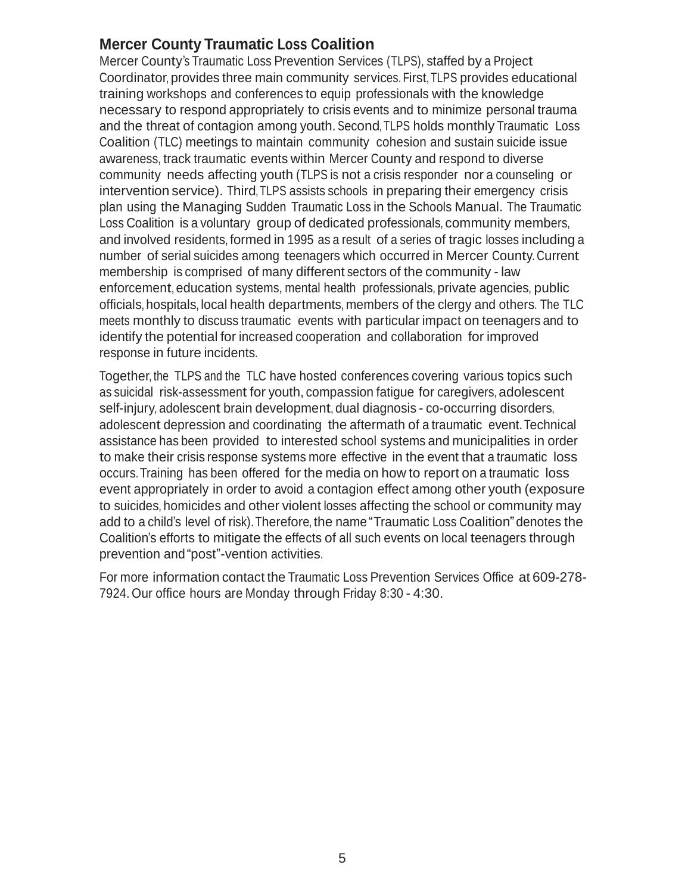## **Mercer County Traumatic Loss Coalition**

Mercer County's Traumatic Loss Prevention Services (TLPS), staffed by a Project Coordinator, provides three main community services. First,TLPS provides educational training workshops and conferences to equip professionals with the knowledge necessary to respond appropriately to crisis events and to minimize personal trauma and the threat of contagion among youth. Second,TLPS holds monthly Traumatic Loss Coalition (TLC) meetings to maintain community cohesion and sustain suicide issue awareness, track traumatic events within Mercer County and respond to diverse community needs affecting youth (TLPS is not a crisis responder nor a counseling or intervention service). Third, TLPS assists schools in preparing their emergency crisis plan using the Managing Sudden Traumatic Loss in the Schools Manual. The Traumatic Loss Coalition is a voluntary group of dedicated professionals, community members, and involved residents, formed in 1995 as a result of a series of tragic losses including a number of serial suicides among teenagers which occurred in Mercer County. Current membership is comprised of many different sectors of the community - law enforcement, education systems, mental health professionals, private agencies, public officials, hospitals, local health departments, members of the clergy and others. The TLC meets monthly to discuss traumatic events with particular impact on teenagers and to identify the potential for increased cooperation and collaboration for improved response in future incidents.

Together, the TLPS and the TLC have hosted conferences covering various topics such as suicidal risk-assessment for youth, compassion fatigue for caregivers, adolescent self-injury, adolescent brain development, dual diagnosis - co-occurring disorders, adolescent depression and coordinating the aftermath of a traumatic event.Technical assistance has been provided to interested school systems and municipalities in order to make their crisis response systems more effective in the event that a traumatic loss occurs.Training has been offered for the media on how to report on a traumatic loss event appropriately in order to avoid a contagion effect among other youth (exposure to suicides, homicides and other violent losses affecting the school or community may add to a child's level of risk).Therefore, the name"Traumatic Loss Coalition"denotes the Coalition's efforts to mitigate the effects of all such events on local teenagers through prevention and"post"-vention activities.

For more information contact the Traumatic Loss Prevention Services Office at 609-278- 7924. Our office hours are Monday through Friday 8:30 - 4:30.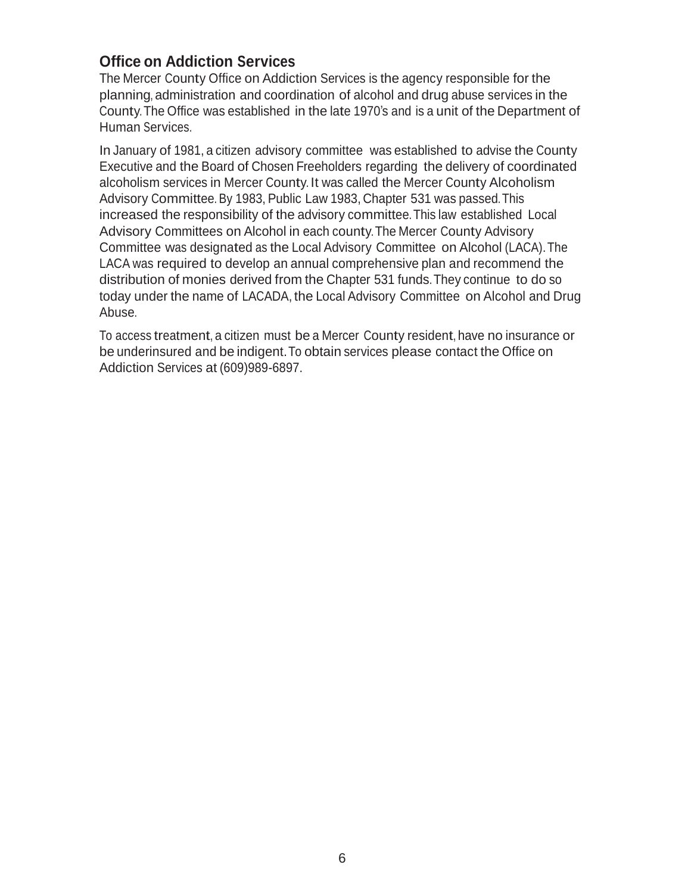## **Office on Addiction Services**

The Mercer County Office on Addiction Services is the agency responsible for the planning, administration and coordination of alcohol and drug abuse services in the County.The Office was established in the late 1970's and is a unit of the Department of Human Services.

In January of 1981, a citizen advisory committee was established to advise the County Executive and the Board of Chosen Freeholders regarding the delivery of coordinated alcoholism services in Mercer County. It was called the Mercer County Alcoholism Advisory Committee. By 1983, Public Law 1983, Chapter 531 was passed.This increased the responsibility of the advisory committee.This law established Local Advisory Committees on Alcohol in each county.The Mercer County Advisory Committee was designated as the Local Advisory Committee on Alcohol (LACA).The LACA was required to develop an annual comprehensive plan and recommend the distribution of monies derived from the Chapter 531 funds.They continue to do so today under the name of LACADA, the Local Advisory Committee on Alcohol and Drug Abuse.

To access treatment, a citizen must be a Mercer County resident, have no insurance or be underinsured and be indigent.To obtain services please contact the Office on Addiction Services at (609)989-6897.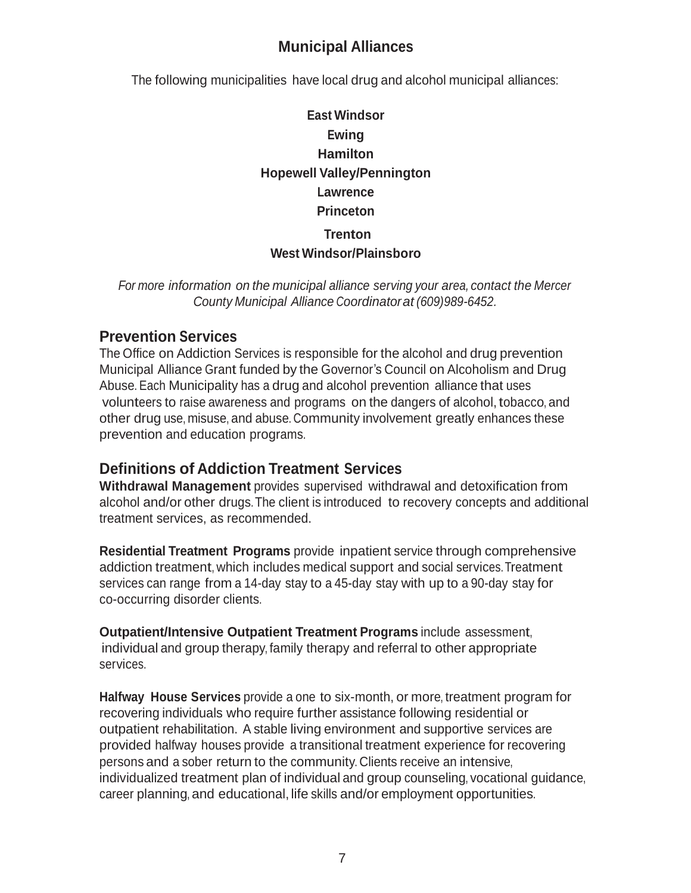# **Municipal Alliances**

The following municipalities have local drug and alcohol municipal alliances:

# **East Windsor Ewing Hamilton Hopewell Valley/Pennington Lawrence Princeton Trenton West Windsor/Plainsboro**

*For more information on the municipal alliance serving your area, contact the Mercer County Municipal Alliance Coordinatorat (609)989-6452.*

## **Prevention Services**

The Office on Addiction Services is responsible for the alcohol and drug prevention Municipal Alliance Grant funded by the Governor's Council on Alcoholism and Drug Abuse. Each Municipality has a drug and alcohol prevention alliance that uses volunteers to raise awareness and programs on the dangers of alcohol, tobacco, and other drug use, misuse, and abuse. Community involvement greatly enhances these prevention and education programs.

## **Definitions of Addiction Treatment Services**

**Withdrawal Management** provides supervised withdrawal and detoxification from alcohol and/or other drugs.The client is introduced to recovery concepts and additional treatment services, as recommended.

**Residential Treatment Programs** provide inpatient service through comprehensive addiction treatment, which includes medical support and social services.Treatment services can range from a 14-day stay to a 45-day stay with up to a 90-day stay for co-occurring disorder clients.

**Outpatient/Intensive Outpatient Treatment Programs** include assessment, individual and group therapy, family therapy and referral to other appropriate services.

**Halfway House Services** provide a one to six-month, or more, treatment program for recovering individuals who require further assistance following residential or outpatient rehabilitation. A stable living environment and supportive services are provided halfway houses provide a transitional treatment experience for recovering persons and a sober return to the community. Clients receive an intensive, individualized treatment plan of individual and group counseling, vocational guidance, career planning, and educational, life skills and/or employment opportunities.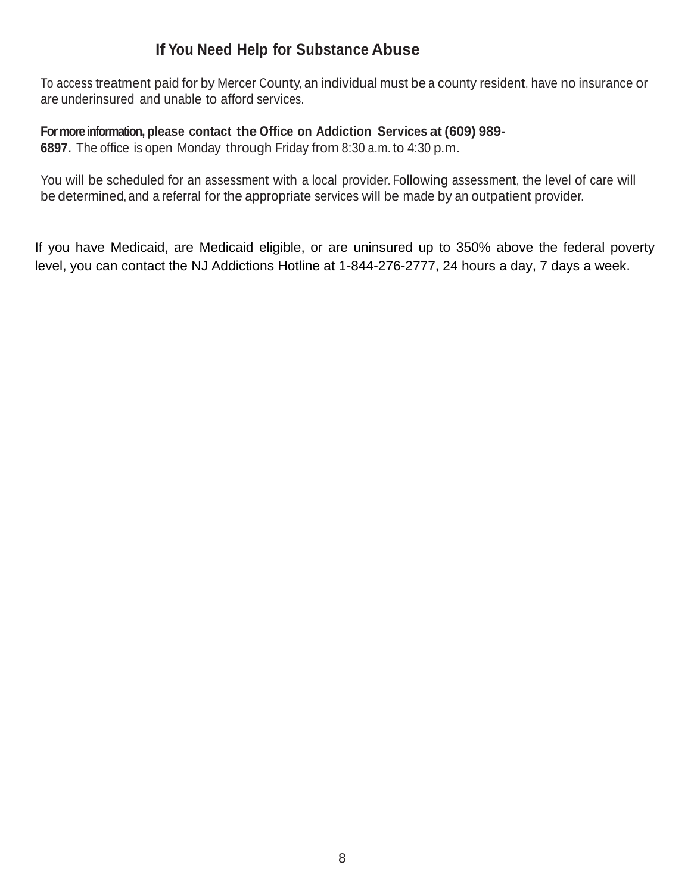# **If You Need Help for Substance Abuse**

To access treatment paid for by Mercer County, an individual must be a county resident, have no insurance or are underinsured and unable to afford services.

**For more information, please contact the Office on Addiction Services at (609) 989-**

**6897.** The office is open Monday through Friday from 8:30 a.m. to 4:30 p.m.

You will be scheduled for an assessment with a local provider. Following assessment, the level of care will be determined, and a referral for the appropriate services will be made by an outpatient provider.

If you have Medicaid, are Medicaid eligible, or are uninsured up to 350% above the federal poverty level, you can contact the NJ Addictions Hotline at 1-844-276-2777, 24 hours a day, 7 days a week.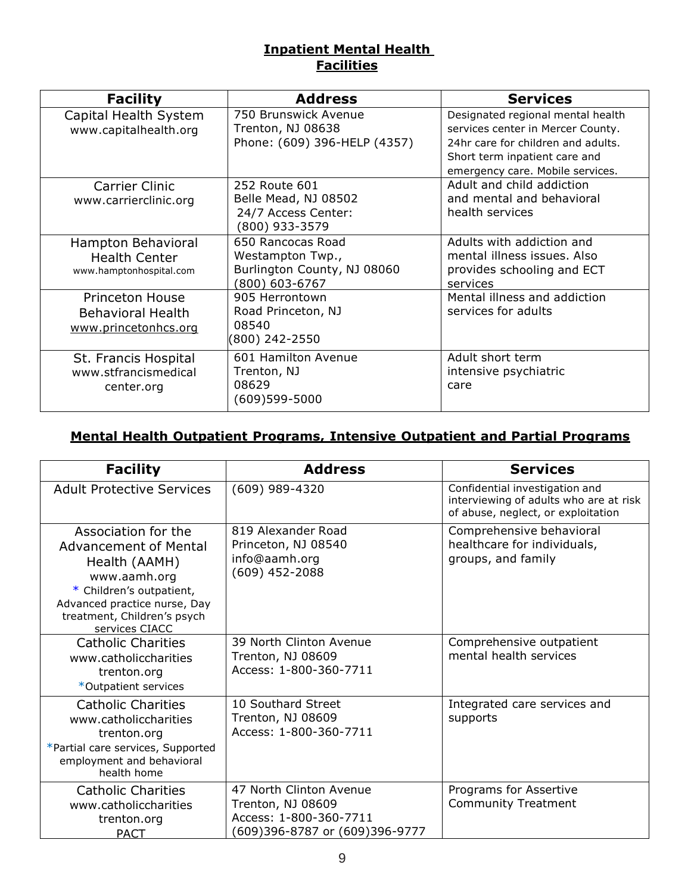## **Inpatient Mental Health Facilities**

| <b>Facility</b>                                                            | <b>Address</b>                                                                         | <b>Services</b>                                                                                                                                                                   |
|----------------------------------------------------------------------------|----------------------------------------------------------------------------------------|-----------------------------------------------------------------------------------------------------------------------------------------------------------------------------------|
| Capital Health System<br>www.capitalhealth.org                             | 750 Brunswick Avenue<br>Trenton, NJ 08638<br>Phone: (609) 396-HELP (4357)              | Designated regional mental health<br>services center in Mercer County.<br>24hr care for children and adults.<br>Short term inpatient care and<br>emergency care. Mobile services. |
| <b>Carrier Clinic</b><br>www.carrierclinic.org                             | 252 Route 601<br>Belle Mead, NJ 08502<br>24/7 Access Center:<br>(800) 933-3579         | Adult and child addiction<br>and mental and behavioral<br>health services                                                                                                         |
| Hampton Behavioral<br><b>Health Center</b><br>www.hamptonhospital.com      | 650 Rancocas Road<br>Westampton Twp.,<br>Burlington County, NJ 08060<br>(800) 603-6767 | Adults with addiction and<br>mental illness issues. Also<br>provides schooling and ECT<br>services                                                                                |
| <b>Princeton House</b><br><b>Behavioral Health</b><br>www.princetonhcs.org | 905 Herrontown<br>Road Princeton, NJ<br>08540<br>(800) 242-2550                        | Mental illness and addiction<br>services for adults                                                                                                                               |
| St. Francis Hospital<br>www.stfrancismedical<br>center.org                 | 601 Hamilton Avenue<br>Trenton, NJ<br>08629<br>$(609)599 - 5000$                       | Adult short term<br>intensive psychiatric<br>care                                                                                                                                 |

## **Mental Health Outpatient Programs, Intensive Outpatient and Partial Programs**

| <b>Facility</b>                                                                                                                                                                                   | <b>Address</b>                                                                                           | <b>Services</b>                                                                                                |
|---------------------------------------------------------------------------------------------------------------------------------------------------------------------------------------------------|----------------------------------------------------------------------------------------------------------|----------------------------------------------------------------------------------------------------------------|
| <b>Adult Protective Services</b>                                                                                                                                                                  | (609) 989-4320                                                                                           | Confidential investigation and<br>interviewing of adults who are at risk<br>of abuse, neglect, or exploitation |
| Association for the<br><b>Advancement of Mental</b><br>Health (AAMH)<br>www.aamh.org<br>* Children's outpatient,<br>Advanced practice nurse, Day<br>treatment, Children's psych<br>services CIACC | 819 Alexander Road<br>Princeton, NJ 08540<br>info@aamh.org<br>$(609)$ 452-2088                           | Comprehensive behavioral<br>healthcare for individuals,<br>groups, and family                                  |
| <b>Catholic Charities</b><br>www.catholiccharities<br>trenton.org<br>*Outpatient services                                                                                                         | 39 North Clinton Avenue<br>Trenton, NJ 08609<br>Access: 1-800-360-7711                                   | Comprehensive outpatient<br>mental health services                                                             |
| <b>Catholic Charities</b><br>www.catholiccharities<br>trenton.org<br>*Partial care services, Supported<br>employment and behavioral<br>health home                                                | 10 Southard Street<br>Trenton, NJ 08609<br>Access: 1-800-360-7711                                        | Integrated care services and<br>supports                                                                       |
| <b>Catholic Charities</b><br>www.catholiccharities<br>trenton.org<br>PACT                                                                                                                         | 47 North Clinton Avenue<br>Trenton, NJ 08609<br>Access: 1-800-360-7711<br>(609)396-8787 or (609)396-9777 | Programs for Assertive<br><b>Community Treatment</b>                                                           |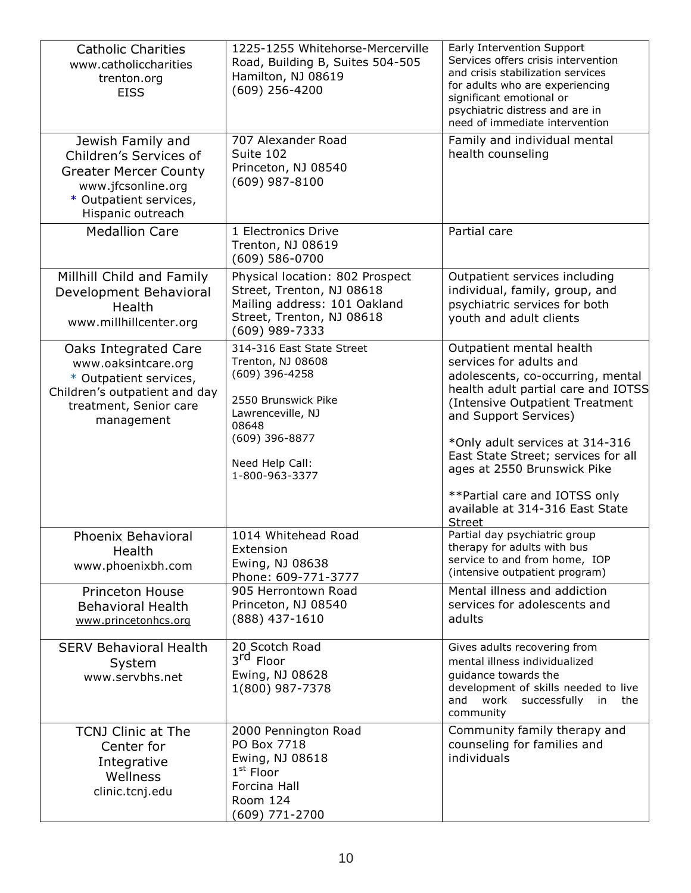| <b>Catholic Charities</b><br>www.catholiccharities<br>trenton.org<br><b>EISS</b>                                                                 | 1225-1255 Whitehorse-Mercerville<br>Road, Building B, Suites 504-505<br>Hamilton, NJ 08619<br>(609) 256-4200                                                                 | Early Intervention Support<br>Services offers crisis intervention<br>and crisis stabilization services<br>for adults who are experiencing<br>significant emotional or<br>psychiatric distress and are in<br>need of immediate intervention                                                                                                                                                |
|--------------------------------------------------------------------------------------------------------------------------------------------------|------------------------------------------------------------------------------------------------------------------------------------------------------------------------------|-------------------------------------------------------------------------------------------------------------------------------------------------------------------------------------------------------------------------------------------------------------------------------------------------------------------------------------------------------------------------------------------|
| Jewish Family and<br>Children's Services of<br><b>Greater Mercer County</b><br>www.jfcsonline.org<br>* Outpatient services,<br>Hispanic outreach | 707 Alexander Road<br>Suite 102<br>Princeton, NJ 08540<br>$(609)$ 987-8100                                                                                                   | Family and individual mental<br>health counseling                                                                                                                                                                                                                                                                                                                                         |
| <b>Medallion Care</b>                                                                                                                            | 1 Electronics Drive<br>Trenton, NJ 08619<br>$(609) 586 - 0700$                                                                                                               | Partial care                                                                                                                                                                                                                                                                                                                                                                              |
| Millhill Child and Family<br>Development Behavioral<br>Health<br>www.millhillcenter.org                                                          | Physical location: 802 Prospect<br>Street, Trenton, NJ 08618<br>Mailing address: 101 Oakland<br>Street, Trenton, NJ 08618<br>(609) 989-7333                                  | Outpatient services including<br>individual, family, group, and<br>psychiatric services for both<br>youth and adult clients                                                                                                                                                                                                                                                               |
| Oaks Integrated Care<br>www.oaksintcare.org<br>* Outpatient services,<br>Children's outpatient and day<br>treatment, Senior care<br>management   | 314-316 East State Street<br>Trenton, NJ 08608<br>(609) 396-4258<br>2550 Brunswick Pike<br>Lawrenceville, NJ<br>08648<br>(609) 396-8877<br>Need Help Call:<br>1-800-963-3377 | Outpatient mental health<br>services for adults and<br>adolescents, co-occurring, mental<br>health adult partial care and IOTSS<br>(Intensive Outpatient Treatment<br>and Support Services)<br>*Only adult services at 314-316<br>East State Street; services for all<br>ages at 2550 Brunswick Pike<br>**Partial care and IOTSS only<br>available at 314-316 East State<br><b>Street</b> |
| Phoenix Behavioral<br>Health<br>www.phoenixbh.com                                                                                                | 1014 Whitehead Road<br>Extension<br>Ewing, NJ 08638<br>Phone: 609-771-3777                                                                                                   | Partial day psychiatric group<br>therapy for adults with bus<br>service to and from home, IOP<br>(intensive outpatient program)                                                                                                                                                                                                                                                           |
| <b>Princeton House</b><br><b>Behavioral Health</b><br>www.princetonhcs.org                                                                       | 905 Herrontown Road<br>Princeton, NJ 08540<br>(888) 437-1610                                                                                                                 | Mental illness and addiction<br>services for adolescents and<br>adults                                                                                                                                                                                                                                                                                                                    |
| <b>SERV Behavioral Health</b><br>System<br>www.servbhs.net                                                                                       | 20 Scotch Road<br>3rd Floor<br>Ewing, NJ 08628<br>1(800) 987-7378                                                                                                            | Gives adults recovering from<br>mental illness individualized<br>quidance towards the<br>development of skills needed to live<br>and work successfully in<br>the<br>community                                                                                                                                                                                                             |
| <b>TCNJ Clinic at The</b><br>Center for<br>Integrative<br>Wellness<br>clinic.tcnj.edu                                                            | 2000 Pennington Road<br>PO Box 7718<br>Ewing, NJ 08618<br>$1st$ Floor<br>Forcina Hall<br>Room 124<br>(609) 771-2700                                                          | Community family therapy and<br>counseling for families and<br>individuals                                                                                                                                                                                                                                                                                                                |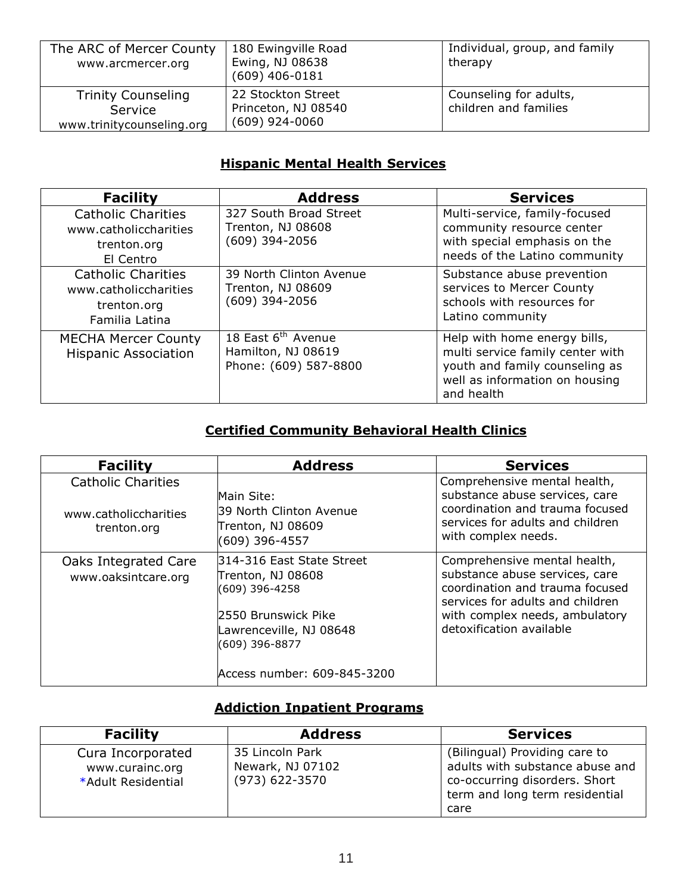| The ARC of Mercer County<br>www.arcmercer.org                     | 180 Ewingville Road<br>Ewing, NJ 08638<br>$(609)$ 406-0181    | Individual, group, and family<br>therapy        |
|-------------------------------------------------------------------|---------------------------------------------------------------|-------------------------------------------------|
| <b>Trinity Counseling</b><br>Service<br>www.trinitycounseling.org | 22 Stockton Street<br>Princeton, NJ 08540<br>$(609)$ 924-0060 | Counseling for adults,<br>children and families |

## **Hispanic Mental Health Services**

| <b>Facility</b>                                                                     | <b>Address</b>                                                                | <b>Services</b>                                                                                                                                    |
|-------------------------------------------------------------------------------------|-------------------------------------------------------------------------------|----------------------------------------------------------------------------------------------------------------------------------------------------|
| <b>Catholic Charities</b><br>www.catholiccharities<br>trenton.org<br>El Centro      | 327 South Broad Street<br>Trenton, NJ 08608<br>$(609)$ 394-2056               | Multi-service, family-focused<br>community resource center<br>with special emphasis on the<br>needs of the Latino community                        |
| <b>Catholic Charities</b><br>www.catholiccharities<br>trenton.org<br>Familia Latina | 39 North Clinton Avenue<br>Trenton, NJ 08609<br>$(609)$ 394-2056              | Substance abuse prevention<br>services to Mercer County<br>schools with resources for<br>Latino community                                          |
| <b>MECHA Mercer County</b><br><b>Hispanic Association</b>                           | 18 East 6 <sup>th</sup> Avenue<br>Hamilton, NJ 08619<br>Phone: (609) 587-8800 | Help with home energy bills,<br>multi service family center with<br>youth and family counseling as<br>well as information on housing<br>and health |

## **Certified Community Behavioral Health Clinics**

| <b>Facility</b>                                                   | <b>Address</b>                                                                                                                                                        | <b>Services</b>                                                                                                                                                                                     |
|-------------------------------------------------------------------|-----------------------------------------------------------------------------------------------------------------------------------------------------------------------|-----------------------------------------------------------------------------------------------------------------------------------------------------------------------------------------------------|
| <b>Catholic Charities</b><br>www.catholiccharities<br>trenton.org | Main Site:<br>39 North Clinton Avenue<br>Trenton, NJ 08609<br>(609) 396-4557                                                                                          | Comprehensive mental health,<br>substance abuse services, care<br>coordination and trauma focused<br>services for adults and children<br>with complex needs.                                        |
| Oaks Integrated Care<br>www.oaksintcare.org                       | 314-316 East State Street<br>Trenton, NJ 08608<br>(609) 396-4258<br>2550 Brunswick Pike<br>Lawrenceville, NJ 08648<br>$(609)$ 396-8877<br>Access number: 609-845-3200 | Comprehensive mental health,<br>substance abuse services, care<br>coordination and trauma focused<br>services for adults and children<br>with complex needs, ambulatory<br>detoxification available |

## **Addiction Inpatient Programs**

| <b>Facility</b>                                            | <b>Address</b>                                        | <b>Services</b>                                                                                                                             |
|------------------------------------------------------------|-------------------------------------------------------|---------------------------------------------------------------------------------------------------------------------------------------------|
| Cura Incorporated<br>www.curainc.org<br>*Adult Residential | 35 Lincoln Park<br>Newark, NJ 07102<br>(973) 622-3570 | (Bilingual) Providing care to<br>adults with substance abuse and<br>co-occurring disorders. Short<br>term and long term residential<br>care |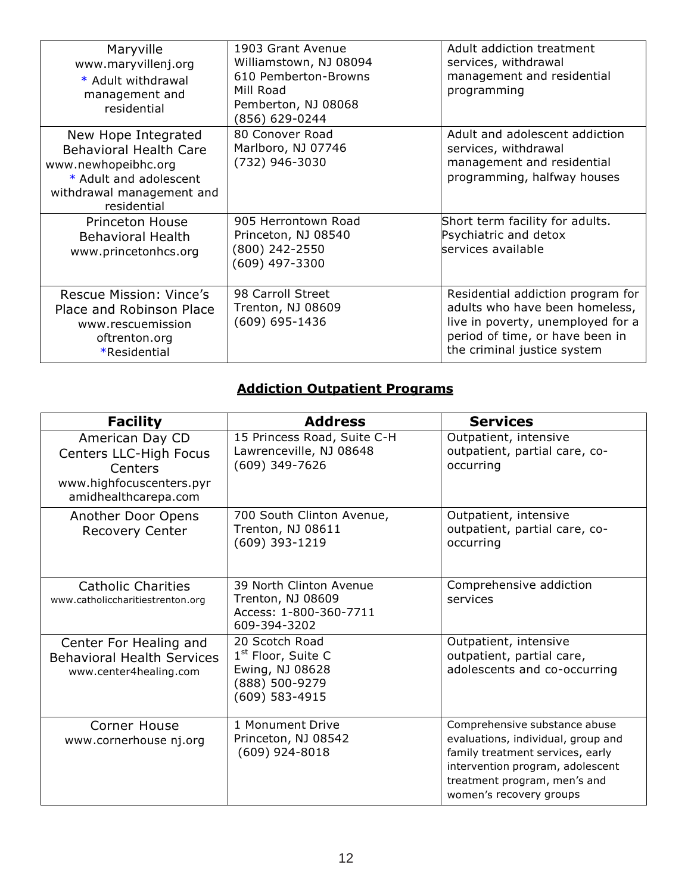| Maryville<br>www.maryvillenj.org<br>* Adult withdrawal<br>management and<br>residential                                                           | 1903 Grant Avenue<br>Williamstown, NJ 08094<br>610 Pemberton-Browns<br>Mill Road<br>Pemberton, NJ 08068<br>(856) 629-0244 | Adult addiction treatment<br>services, withdrawal<br>management and residential<br>programming                                                                             |
|---------------------------------------------------------------------------------------------------------------------------------------------------|---------------------------------------------------------------------------------------------------------------------------|----------------------------------------------------------------------------------------------------------------------------------------------------------------------------|
| New Hope Integrated<br><b>Behavioral Health Care</b><br>www.newhopeibhc.org<br>* Adult and adolescent<br>withdrawal management and<br>residential | 80 Conover Road<br>Marlboro, NJ 07746<br>(732) 946-3030                                                                   | Adult and adolescent addiction<br>services, withdrawal<br>management and residential<br>programming, halfway houses                                                        |
| <b>Princeton House</b><br><b>Behavioral Health</b><br>www.princetonhcs.org                                                                        | 905 Herrontown Road<br>Princeton, NJ 08540<br>(800) 242-2550<br>(609) 497-3300                                            | Short term facility for adults.<br>Psychiatric and detox<br>services available                                                                                             |
| Rescue Mission: Vince's<br>Place and Robinson Place<br>www.rescuemission<br>oftrenton.org<br>*Residential                                         | 98 Carroll Street<br>Trenton, NJ 08609<br>(609) 695-1436                                                                  | Residential addiction program for<br>adults who have been homeless,<br>live in poverty, unemployed for a<br>period of time, or have been in<br>the criminal justice system |

# **Addiction Outpatient Programs**

| <b>Facility</b>                                                                                          | <b>Address</b>                                                                                            | <b>Services</b>                                                                                                                                                                                        |
|----------------------------------------------------------------------------------------------------------|-----------------------------------------------------------------------------------------------------------|--------------------------------------------------------------------------------------------------------------------------------------------------------------------------------------------------------|
| American Day CD<br>Centers LLC-High Focus<br>Centers<br>www.highfocuscenters.pyr<br>amidhealthcarepa.com | 15 Princess Road, Suite C-H<br>Lawrenceville, NJ 08648<br>(609) 349-7626                                  | Outpatient, intensive<br>outpatient, partial care, co-<br>occurring                                                                                                                                    |
| Another Door Opens<br><b>Recovery Center</b>                                                             | 700 South Clinton Avenue,<br>Trenton, NJ 08611<br>(609) 393-1219                                          | Outpatient, intensive<br>outpatient, partial care, co-<br>occurring                                                                                                                                    |
| <b>Catholic Charities</b><br>www.catholiccharitiestrenton.org                                            | 39 North Clinton Avenue<br>Trenton, NJ 08609<br>Access: 1-800-360-7711<br>609-394-3202                    | Comprehensive addiction<br>services                                                                                                                                                                    |
| Center For Healing and<br><b>Behavioral Health Services</b><br>www.center4healing.com                    | 20 Scotch Road<br>1 <sup>st</sup> Floor, Suite C<br>Ewing, NJ 08628<br>(888) 500-9279<br>$(609)$ 583-4915 | Outpatient, intensive<br>outpatient, partial care,<br>adolescents and co-occurring                                                                                                                     |
| Corner House<br>www.cornerhouse nj.org                                                                   | 1 Monument Drive<br>Princeton, NJ 08542<br>$(609)$ 924-8018                                               | Comprehensive substance abuse<br>evaluations, individual, group and<br>family treatment services, early<br>intervention program, adolescent<br>treatment program, men's and<br>women's recovery groups |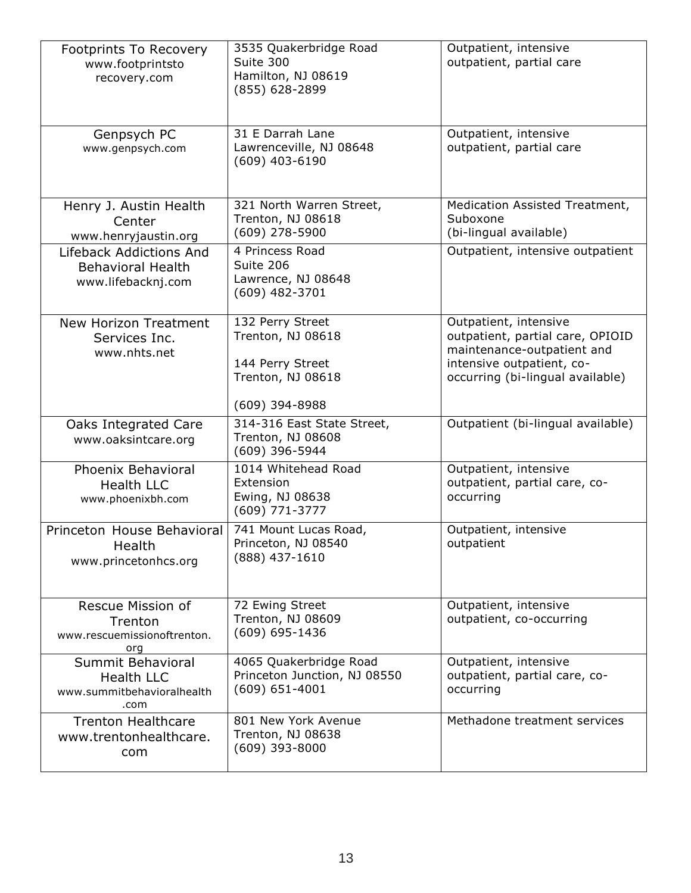| Footprints To Recovery<br>www.footprintsto<br>recovery.com                   | 3535 Quakerbridge Road<br>Suite 300<br>Hamilton, NJ 08619<br>(855) 628-2899                        | Outpatient, intensive<br>outpatient, partial care                                                                                                        |
|------------------------------------------------------------------------------|----------------------------------------------------------------------------------------------------|----------------------------------------------------------------------------------------------------------------------------------------------------------|
| Genpsych PC<br>www.genpsych.com                                              | 31 E Darrah Lane<br>Lawrenceville, NJ 08648<br>$(609)$ 403-6190                                    | Outpatient, intensive<br>outpatient, partial care                                                                                                        |
| Henry J. Austin Health<br>Center<br>www.henryjaustin.org                     | 321 North Warren Street,<br>Trenton, NJ 08618<br>$(609)$ 278-5900                                  | Medication Assisted Treatment,<br>Suboxone<br>(bi-lingual available)                                                                                     |
| Lifeback Addictions And<br><b>Behavioral Health</b><br>www.lifebacknj.com    | 4 Princess Road<br>Suite 206<br>Lawrence, NJ 08648<br>$(609)$ 482-3701                             | Outpatient, intensive outpatient                                                                                                                         |
| <b>New Horizon Treatment</b><br>Services Inc.<br>www.nhts.net                | 132 Perry Street<br>Trenton, NJ 08618<br>144 Perry Street<br>Trenton, NJ 08618<br>$(609)$ 394-8988 | Outpatient, intensive<br>outpatient, partial care, OPIOID<br>maintenance-outpatient and<br>intensive outpatient, co-<br>occurring (bi-lingual available) |
| Oaks Integrated Care<br>www.oaksintcare.org                                  | 314-316 East State Street,<br>Trenton, NJ 08608<br>(609) 396-5944                                  | Outpatient (bi-lingual available)                                                                                                                        |
| Phoenix Behavioral<br><b>Health LLC</b><br>www.phoenixbh.com                 | 1014 Whitehead Road<br>Extension<br>Ewing, NJ 08638<br>(609) 771-3777                              | Outpatient, intensive<br>outpatient, partial care, co-<br>occurring                                                                                      |
| Princeton House Behavioral<br>Health<br>www.princetonhcs.org                 | 741 Mount Lucas Road,<br>Princeton, NJ 08540<br>(888) 437-1610                                     | Outpatient, intensive<br>outpatient                                                                                                                      |
| Rescue Mission of<br>Trenton<br>www.rescuemissionoftrenton.<br>org           | 72 Ewing Street<br>Trenton, NJ 08609<br>$(609) 695 - 1436$                                         | Outpatient, intensive<br>outpatient, co-occurring                                                                                                        |
| Summit Behavioral<br><b>Health LLC</b><br>www.summitbehavioralhealth<br>.com | 4065 Quakerbridge Road<br>Princeton Junction, NJ 08550<br>$(609) 651 - 4001$                       | Outpatient, intensive<br>outpatient, partial care, co-<br>occurring                                                                                      |
| <b>Trenton Healthcare</b><br>www.trentonhealthcare.<br>com                   | 801 New York Avenue<br>Trenton, NJ 08638<br>$(609)$ 393-8000                                       | Methadone treatment services                                                                                                                             |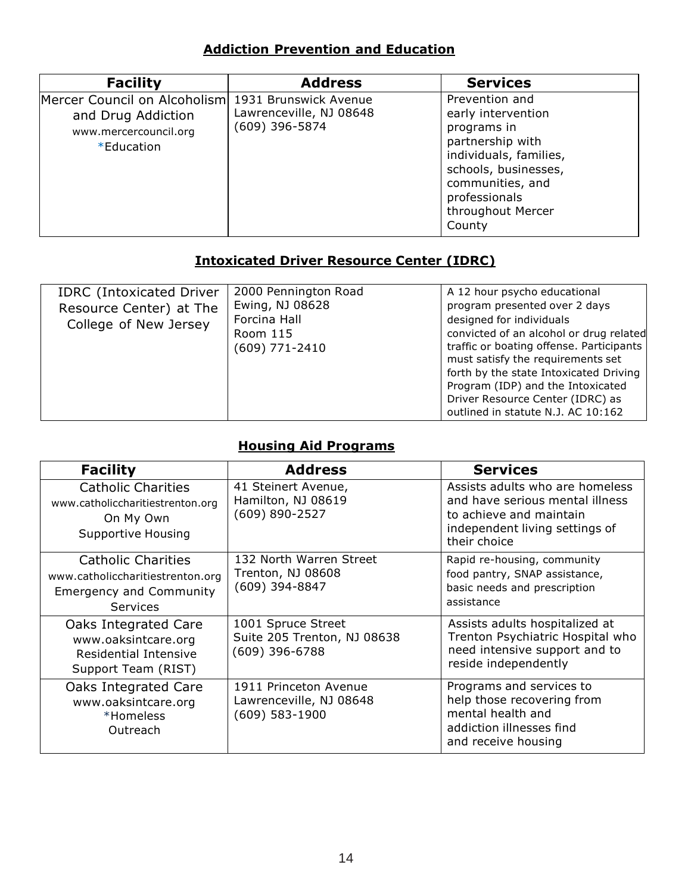## **Addiction Prevention and Education**

| <b>Facility</b>                                                                           | <b>Address</b>                                                     | <b>Services</b>                                                                                                                                                                               |
|-------------------------------------------------------------------------------------------|--------------------------------------------------------------------|-----------------------------------------------------------------------------------------------------------------------------------------------------------------------------------------------|
| Mercer Council on Alcoholism<br>and Drug Addiction<br>www.mercercouncil.org<br>*Education | 1931 Brunswick Avenue<br>Lawrenceville, NJ 08648<br>(609) 396-5874 | Prevention and<br>early intervention<br>programs in<br>partnership with<br>individuals, families,<br>schools, businesses,<br>communities, and<br>professionals<br>throughout Mercer<br>County |

### **Intoxicated Driver Resource Center (IDRC)**

| <b>IDRC</b> (Intoxicated Driver<br>Resource Center) at The<br>College of New Jersey | 2000 Pennington Road<br>Ewing, NJ 08628<br>Forcina Hall<br>Room 115<br>(609) 771-2410 | A 12 hour psycho educational<br>program presented over 2 days<br>designed for individuals<br>convicted of an alcohol or drug related<br>traffic or boating offense. Participants<br>must satisfy the requirements set<br>forth by the state Intoxicated Driving<br>Program (IDP) and the Intoxicated<br>Driver Resource Center (IDRC) as |
|-------------------------------------------------------------------------------------|---------------------------------------------------------------------------------------|------------------------------------------------------------------------------------------------------------------------------------------------------------------------------------------------------------------------------------------------------------------------------------------------------------------------------------------|
|                                                                                     |                                                                                       | outlined in statute N.J. AC 10:162                                                                                                                                                                                                                                                                                                       |

## **Housing Aid Programs**

| <b>Facility</b>                                                                                             | <b>Address</b>                                                       | <b>Services</b>                                                                                                                                 |
|-------------------------------------------------------------------------------------------------------------|----------------------------------------------------------------------|-------------------------------------------------------------------------------------------------------------------------------------------------|
| <b>Catholic Charities</b><br>www.catholiccharitiestrenton.org<br>On My Own<br><b>Supportive Housing</b>     | 41 Steinert Avenue,<br>Hamilton, NJ 08619<br>(609) 890-2527          | Assists adults who are homeless<br>and have serious mental illness<br>to achieve and maintain<br>independent living settings of<br>their choice |
| <b>Catholic Charities</b><br>www.catholiccharitiestrenton.org<br><b>Emergency and Community</b><br>Services | 132 North Warren Street<br>Trenton, NJ 08608<br>(609) 394-8847       | Rapid re-housing, community<br>food pantry, SNAP assistance,<br>basic needs and prescription<br>assistance                                      |
| Oaks Integrated Care<br>www.oaksintcare.org<br>Residential Intensive<br>Support Team (RIST)                 | 1001 Spruce Street<br>Suite 205 Trenton, NJ 08638<br>(609) 396-6788  | Assists adults hospitalized at<br>Trenton Psychiatric Hospital who<br>need intensive support and to<br>reside independently                     |
| Oaks Integrated Care<br>www.oaksintcare.org<br>*Homeless<br>Outreach                                        | 1911 Princeton Avenue<br>Lawrenceville, NJ 08648<br>$(609)$ 583-1900 | Programs and services to<br>help those recovering from<br>mental health and<br>addiction illnesses find<br>and receive housing                  |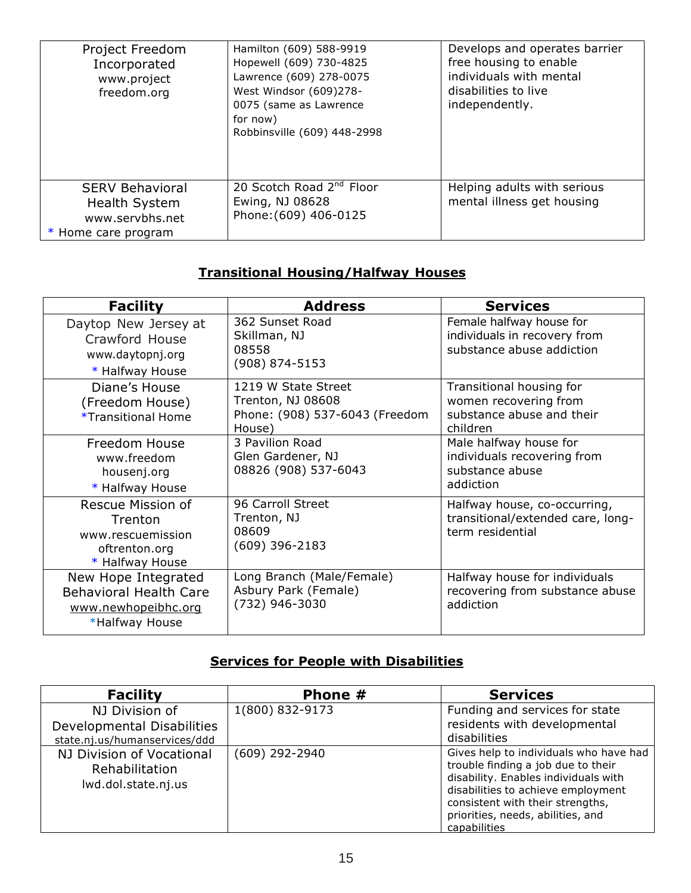| Project Freedom<br>Incorporated<br>www.project<br>freedom.org                   | Hamilton (609) 588-9919<br>Hopewell (609) 730-4825<br>Lawrence (609) 278-0075<br>West Windsor (609)278-<br>0075 (same as Lawrence<br>for now)<br>Robbinsville (609) 448-2998 | Develops and operates barrier<br>free housing to enable<br>individuals with mental<br>disabilities to live<br>independently. |
|---------------------------------------------------------------------------------|------------------------------------------------------------------------------------------------------------------------------------------------------------------------------|------------------------------------------------------------------------------------------------------------------------------|
| <b>SERV Behavioral</b><br>Health System<br>www.servbhs.net<br>Home care program | 20 Scotch Road 2 <sup>nd</sup> Floor<br>Ewing, NJ 08628<br>Phone: (609) 406-0125                                                                                             | Helping adults with serious<br>mental illness get housing                                                                    |

# **Transitional Housing/Halfway Houses**

| <b>Facility</b>                                                                               | <b>Address</b>                                                                       | <b>Services</b>                                                                            |
|-----------------------------------------------------------------------------------------------|--------------------------------------------------------------------------------------|--------------------------------------------------------------------------------------------|
| Daytop New Jersey at<br>Crawford House<br>www.daytopnj.org<br>* Halfway House                 | 362 Sunset Road<br>Skillman, NJ<br>08558<br>(908) 874-5153                           | Female halfway house for<br>individuals in recovery from<br>substance abuse addiction      |
| Diane's House<br>(Freedom House)<br>*Transitional Home                                        | 1219 W State Street<br>Trenton, NJ 08608<br>Phone: (908) 537-6043 (Freedom<br>House) | Transitional housing for<br>women recovering from<br>substance abuse and their<br>children |
| Freedom House<br>www.freedom<br>housenj.org<br>* Halfway House                                | 3 Pavilion Road<br>Glen Gardener, NJ<br>08826 (908) 537-6043                         | Male halfway house for<br>individuals recovering from<br>substance abuse<br>addiction      |
| Rescue Mission of<br>Trenton<br>www.rescuemission<br>oftrenton.org<br>* Halfway House         | 96 Carroll Street<br>Trenton, NJ<br>08609<br>$(609)$ 396-2183                        | Halfway house, co-occurring,<br>transitional/extended care, long-<br>term residential      |
| New Hope Integrated<br><b>Behavioral Health Care</b><br>www.newhopeibhc.org<br>*Halfway House | Long Branch (Male/Female)<br>Asbury Park (Female)<br>(732) 946-3030                  | Halfway house for individuals<br>recovering from substance abuse<br>addiction              |

# **Services for People with Disabilities**

| <b>Facility</b>                                                               | Phone #          | <b>Services</b>                                                                                                                                                                                                                                     |
|-------------------------------------------------------------------------------|------------------|-----------------------------------------------------------------------------------------------------------------------------------------------------------------------------------------------------------------------------------------------------|
| NJ Division of<br>Developmental Disabilities<br>state.nj.us/humanservices/ddd | 1(800) 832-9173  | Funding and services for state<br>residents with developmental<br>disabilities                                                                                                                                                                      |
| NJ Division of Vocational<br>Rehabilitation<br>lwd.dol.state.nj.us            | $(609)$ 292-2940 | Gives help to individuals who have had<br>trouble finding a job due to their<br>disability. Enables individuals with<br>disabilities to achieve employment<br>consistent with their strengths,<br>priorities, needs, abilities, and<br>capabilities |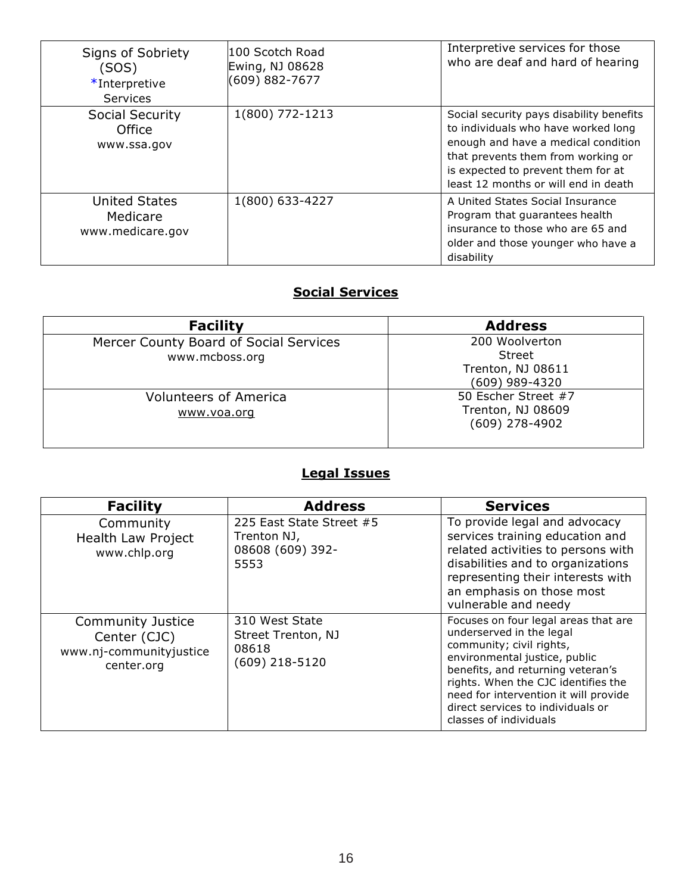| Signs of Sobriety<br>(SOS)<br>*Interpretive<br>Services | 100 Scotch Road<br>Ewing, NJ 08628<br>(609) 882-7677 | Interpretive services for those<br>who are deaf and hard of hearing                                                                                                                                                                        |
|---------------------------------------------------------|------------------------------------------------------|--------------------------------------------------------------------------------------------------------------------------------------------------------------------------------------------------------------------------------------------|
| <b>Social Security</b><br>Office<br>www.ssa.gov         | 1(800) 772-1213                                      | Social security pays disability benefits<br>to individuals who have worked long<br>enough and have a medical condition<br>that prevents them from working or<br>is expected to prevent them for at<br>least 12 months or will end in death |
| <b>United States</b><br>Medicare<br>www.medicare.gov    | 1(800) 633-4227                                      | A United States Social Insurance<br>Program that guarantees health<br>insurance to those who are 65 and<br>older and those younger who have a<br>disability                                                                                |

# **Social Services**

| <b>Facility</b>                                          | <b>Address</b>                                                  |
|----------------------------------------------------------|-----------------------------------------------------------------|
| Mercer County Board of Social Services<br>www.mcboss.org | 200 Woolverton<br>Street<br>Trenton, NJ 08611<br>(609) 989-4320 |
| <b>Volunteers of America</b><br>www.voa.org              | 50 Escher Street #7<br>Trenton, NJ 08609<br>$(609)$ 278-4902    |

# **Legal Issues**

| <b>Facility</b>                                                                   | <b>Address</b>                                                      | <b>Services</b>                                                                                                                                                                                                                                                                                                   |
|-----------------------------------------------------------------------------------|---------------------------------------------------------------------|-------------------------------------------------------------------------------------------------------------------------------------------------------------------------------------------------------------------------------------------------------------------------------------------------------------------|
| Community<br>Health Law Project<br>www.chlp.org                                   | 225 East State Street #5<br>Trenton NJ,<br>08608 (609) 392-<br>5553 | To provide legal and advocacy<br>services training education and<br>related activities to persons with<br>disabilities and to organizations<br>representing their interests with<br>an emphasis on those most<br>vulnerable and needy                                                                             |
| <b>Community Justice</b><br>Center (CJC)<br>www.nj-communityjustice<br>center.org | 310 West State<br>Street Trenton, NJ<br>08618<br>(609) 218-5120     | Focuses on four legal areas that are<br>underserved in the legal<br>community; civil rights,<br>environmental justice, public<br>benefits, and returning veteran's<br>rights. When the CJC identifies the<br>need for intervention it will provide<br>direct services to individuals or<br>classes of individuals |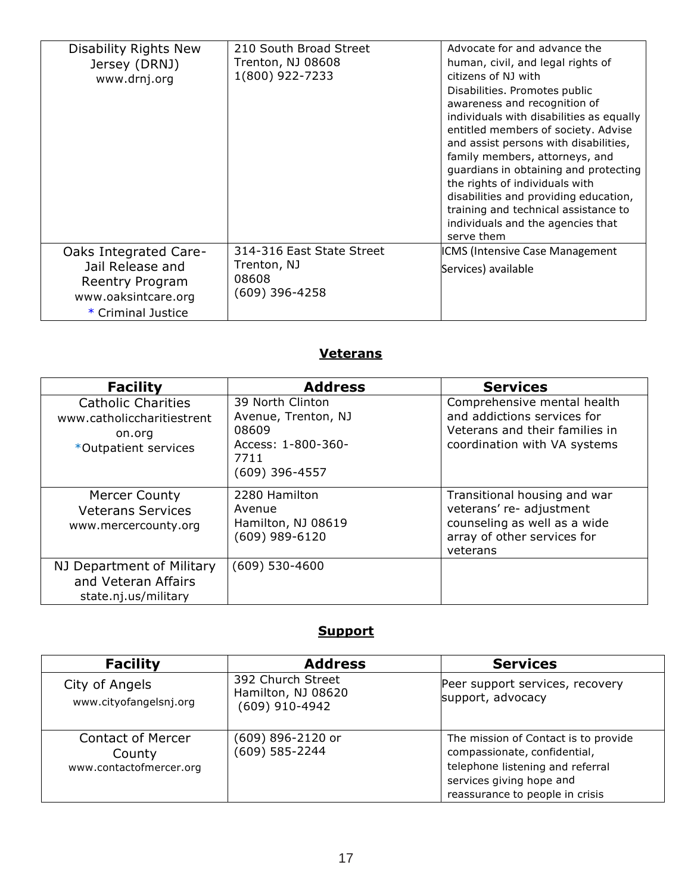| Disability Rights New<br>Jersey (DRNJ)<br>www.drnj.org                                                           | 210 South Broad Street<br>Trenton, NJ 08608<br>1(800) 922-7233      | Advocate for and advance the<br>human, civil, and legal rights of<br>citizens of NJ with<br>Disabilities. Promotes public<br>awareness and recognition of<br>individuals with disabilities as equally<br>entitled members of society. Advise<br>and assist persons with disabilities,<br>family members, attorneys, and<br>guardians in obtaining and protecting<br>the rights of individuals with<br>disabilities and providing education,<br>training and technical assistance to<br>individuals and the agencies that<br>serve them |
|------------------------------------------------------------------------------------------------------------------|---------------------------------------------------------------------|----------------------------------------------------------------------------------------------------------------------------------------------------------------------------------------------------------------------------------------------------------------------------------------------------------------------------------------------------------------------------------------------------------------------------------------------------------------------------------------------------------------------------------------|
| <b>Oaks Integrated Care-</b><br>Jail Release and<br>Reentry Program<br>www.oaksintcare.org<br>* Criminal Justice | 314-316 East State Street<br>Trenton, NJ<br>08608<br>(609) 396-4258 | ICMS (Intensive Case Management<br>Services) available                                                                                                                                                                                                                                                                                                                                                                                                                                                                                 |

## **Veterans**

| <b>Facility</b>                                                                           | <b>Address</b>                                                                                     | <b>Services</b>                                                                                                                     |
|-------------------------------------------------------------------------------------------|----------------------------------------------------------------------------------------------------|-------------------------------------------------------------------------------------------------------------------------------------|
| <b>Catholic Charities</b><br>www.catholiccharitiestrent<br>on.org<br>*Outpatient services | 39 North Clinton<br>Avenue, Trenton, NJ<br>08609<br>Access: 1-800-360-<br>7711<br>$(609)$ 396-4557 | Comprehensive mental health<br>and addictions services for<br>Veterans and their families in<br>coordination with VA systems        |
| <b>Mercer County</b><br><b>Veterans Services</b><br>www.mercercounty.org                  | 2280 Hamilton<br>Avenue<br>Hamilton, NJ 08619<br>(609) 989-6120                                    | Transitional housing and war<br>veterans' re- adjustment<br>counseling as well as a wide<br>array of other services for<br>veterans |
| NJ Department of Military<br>and Veteran Affairs<br>state.nj.us/military                  | (609) 530-4600                                                                                     |                                                                                                                                     |

## **Support**

| <b>Facility</b>                                               | <b>Address</b>                                            | <b>Services</b>                                                                                                                                                         |
|---------------------------------------------------------------|-----------------------------------------------------------|-------------------------------------------------------------------------------------------------------------------------------------------------------------------------|
| City of Angels<br>www.cityofangelsnj.org                      | 392 Church Street<br>Hamilton, NJ 08620<br>(609) 910-4942 | Peer support services, recovery<br>support, advocacy                                                                                                                    |
| <b>Contact of Mercer</b><br>County<br>www.contactofmercer.org | (609) 896-2120 or<br>(609) 585-2244                       | The mission of Contact is to provide<br>compassionate, confidential,<br>telephone listening and referral<br>services giving hope and<br>reassurance to people in crisis |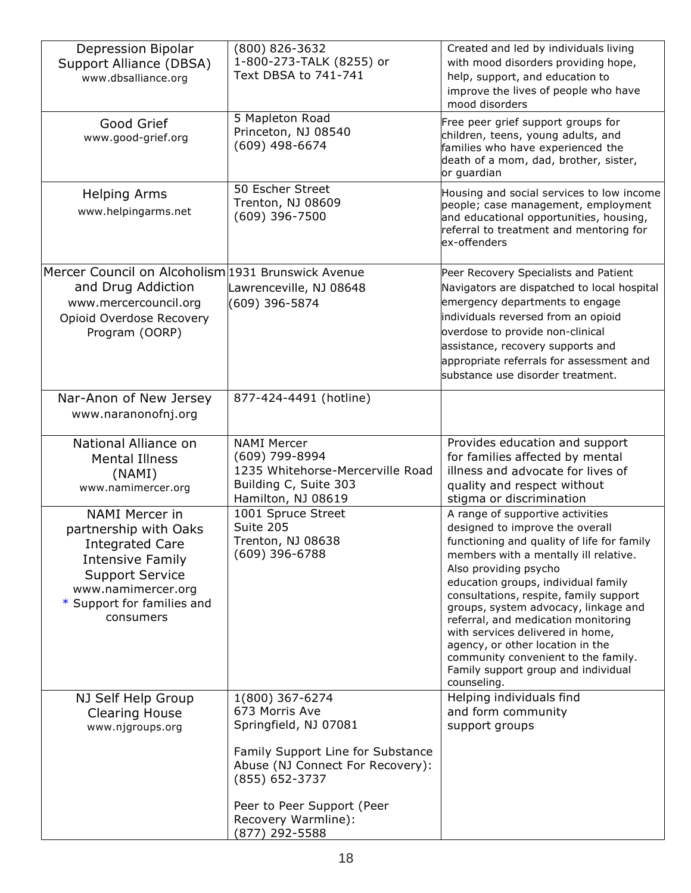| Depression Bipolar<br>Support Alliance (DBSA)<br>www.dbsalliance.org                                                                                                                                                                                                            | (800) 826-3632<br>1-800-273-TALK (8255) or<br>Text DBSA to 741-741                                                                                                                                                           | Created and led by individuals living<br>with mood disorders providing hope,<br>help, support, and education to<br>improve the lives of people who have<br>mood disorders                                                                                                                                                                                                                                                                                                                                                                                                                                                                                                                     |
|---------------------------------------------------------------------------------------------------------------------------------------------------------------------------------------------------------------------------------------------------------------------------------|------------------------------------------------------------------------------------------------------------------------------------------------------------------------------------------------------------------------------|-----------------------------------------------------------------------------------------------------------------------------------------------------------------------------------------------------------------------------------------------------------------------------------------------------------------------------------------------------------------------------------------------------------------------------------------------------------------------------------------------------------------------------------------------------------------------------------------------------------------------------------------------------------------------------------------------|
| Good Grief<br>www.good-grief.org                                                                                                                                                                                                                                                | 5 Mapleton Road<br>Princeton, NJ 08540<br>(609) 498-6674                                                                                                                                                                     | Free peer grief support groups for<br>children, teens, young adults, and<br>families who have experienced the<br>death of a mom, dad, brother, sister,<br>or guardian                                                                                                                                                                                                                                                                                                                                                                                                                                                                                                                         |
| <b>Helping Arms</b><br>www.helpingarms.net                                                                                                                                                                                                                                      | 50 Escher Street<br>Trenton, NJ 08609<br>(609) 396-7500                                                                                                                                                                      | Housing and social services to low income<br>people; case management, employment<br>and educational opportunities, housing,<br>referral to treatment and mentoring for<br>ex-offenders                                                                                                                                                                                                                                                                                                                                                                                                                                                                                                        |
| Mercer Council on Alcoholism 1931 Brunswick Avenue<br>and Drug Addiction<br>www.mercercouncil.org<br>Opioid Overdose Recovery<br>Program (OORP)                                                                                                                                 | Lawrenceville, NJ 08648<br>(609) 396-5874                                                                                                                                                                                    | Peer Recovery Specialists and Patient<br>Navigators are dispatched to local hospital<br>emergency departments to engage<br>individuals reversed from an opioid<br>overdose to provide non-clinical<br>assistance, recovery supports and<br>appropriate referrals for assessment and<br>substance use disorder treatment.                                                                                                                                                                                                                                                                                                                                                                      |
| Nar-Anon of New Jersey<br>www.naranonofnj.org                                                                                                                                                                                                                                   | 877-424-4491 (hotline)                                                                                                                                                                                                       |                                                                                                                                                                                                                                                                                                                                                                                                                                                                                                                                                                                                                                                                                               |
| National Alliance on<br><b>Mental Illness</b><br>(NAMI)<br>www.namimercer.org<br><b>NAMI Mercer in</b><br>partnership with Oaks<br><b>Integrated Care</b><br><b>Intensive Family</b><br><b>Support Service</b><br>www.namimercer.org<br>* Support for families and<br>consumers | <b>NAMI Mercer</b><br>(609) 799-8994<br>1235 Whitehorse-Mercerville Road<br>Building C, Suite 303<br>Hamilton, NJ 08619<br>1001 Spruce Street<br>Suite 205<br>Trenton, NJ 08638<br>(609) 396-6788                            | Provides education and support<br>for families affected by mental<br>illness and advocate for lives of<br>quality and respect without<br>stigma or discrimination<br>A range of supportive activities<br>designed to improve the overall<br>functioning and quality of life for family<br>members with a mentally ill relative.<br>Also providing psycho<br>education groups, individual family<br>consultations, respite, family support<br>groups, system advocacy, linkage and<br>referral, and medication monitoring<br>with services delivered in home,<br>agency, or other location in the<br>community convenient to the family.<br>Family support group and individual<br>counseling. |
| NJ Self Help Group<br><b>Clearing House</b><br>www.njgroups.org                                                                                                                                                                                                                 | 1(800) 367-6274<br>673 Morris Ave<br>Springfield, NJ 07081<br>Family Support Line for Substance<br>Abuse (NJ Connect For Recovery):<br>(855) 652-3737<br>Peer to Peer Support (Peer<br>Recovery Warmline):<br>(877) 292-5588 | Helping individuals find<br>and form community<br>support groups                                                                                                                                                                                                                                                                                                                                                                                                                                                                                                                                                                                                                              |